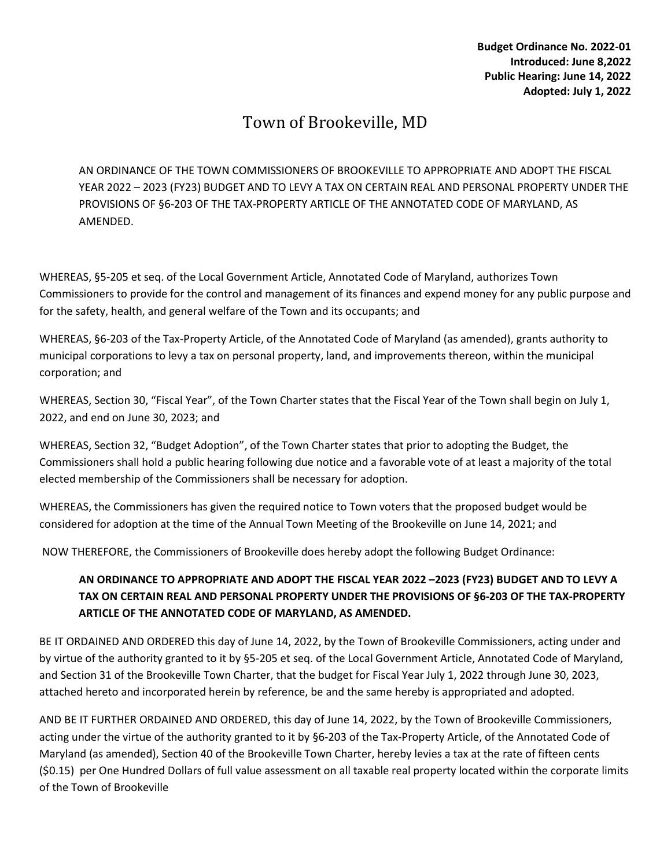## Town of Brookeville, MD

AN ORDINANCE OF THE TOWN COMMISSIONERS OF BROOKEVILLE TO APPROPRIATE AND ADOPT THE FISCAL YEAR 2022 – 2023 (FY23) BUDGET AND TO LEVY A TAX ON CERTAIN REAL AND PERSONAL PROPERTY UNDER THE PROVISIONS OF §6-203 OF THE TAX-PROPERTY ARTICLE OF THE ANNOTATED CODE OF MARYLAND, AS AMENDED.

WHEREAS, §5-205 et seq. of the Local Government Article, Annotated Code of Maryland, authorizes Town Commissioners to provide for the control and management of its finances and expend money for any public purpose and for the safety, health, and general welfare of the Town and its occupants; and

WHEREAS, §6-203 of the Tax-Property Article, of the Annotated Code of Maryland (as amended), grants authority to municipal corporations to levy a tax on personal property, land, and improvements thereon, within the municipal corporation; and

WHEREAS, Section 30, "Fiscal Year", of the Town Charter states that the Fiscal Year of the Town shall begin on July 1, 2022, and end on June 30, 2023; and

WHEREAS, Section 32, "Budget Adoption", of the Town Charter states that prior to adopting the Budget, the Commissioners shall hold a public hearing following due notice and a favorable vote of at least a majority of the total elected membership of the Commissioners shall be necessary for adoption.

WHEREAS, the Commissioners has given the required notice to Town voters that the proposed budget would be considered for adoption at the time of the Annual Town Meeting of the Brookeville on June 14, 2021; and

NOW THEREFORE, the Commissioners of Brookeville does hereby adopt the following Budget Ordinance:

## AN ORDINANCE TO APPROPRIATE AND ADOPT THE FISCAL YEAR 2022 –2023 (FY23) BUDGET AND TO LEVY A TAX ON CERTAIN REAL AND PERSONAL PROPERTY UNDER THE PROVISIONS OF §6-203 OF THE TAX-PROPERTY ARTICLE OF THE ANNOTATED CODE OF MARYLAND, AS AMENDED.

BE IT ORDAINED AND ORDERED this day of June 14, 2022, by the Town of Brookeville Commissioners, acting under and by virtue of the authority granted to it by §5-205 et seq. of the Local Government Article, Annotated Code of Maryland, and Section 31 of the Brookeville Town Charter, that the budget for Fiscal Year July 1, 2022 through June 30, 2023, attached hereto and incorporated herein by reference, be and the same hereby is appropriated and adopted.

AND BE IT FURTHER ORDAINED AND ORDERED, this day of June 14, 2022, by the Town of Brookeville Commissioners, acting under the virtue of the authority granted to it by §6-203 of the Tax-Property Article, of the Annotated Code of Maryland (as amended), Section 40 of the Brookeville Town Charter, hereby levies a tax at the rate of fifteen cents (\$0.15) per One Hundred Dollars of full value assessment on all taxable real property located within the corporate limits of the Town of Brookeville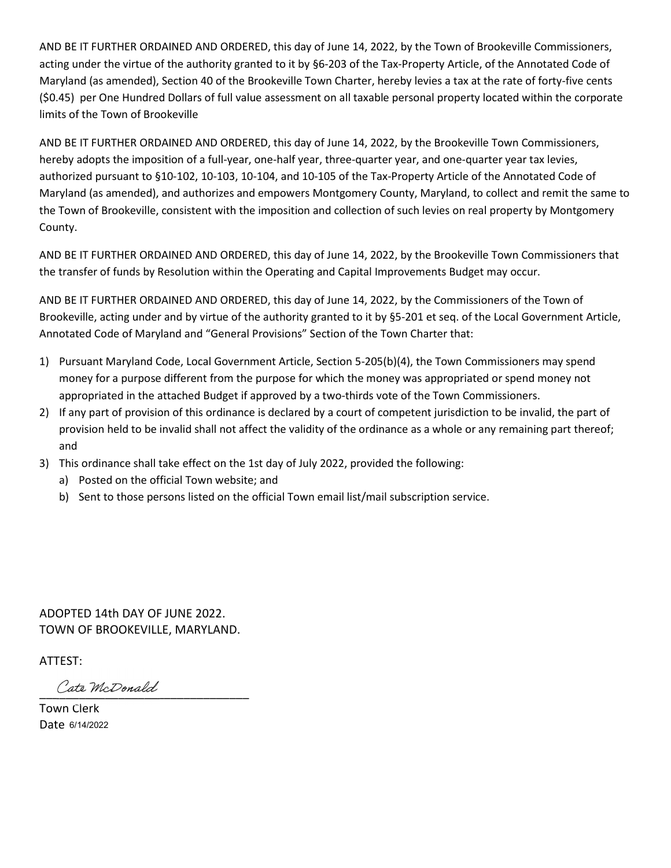AND BE IT FURTHER ORDAINED AND ORDERED, this day of June 14, 2022, by the Town of Brookeville Commissioners, acting under the virtue of the authority granted to it by §6-203 of the Tax-Property Article, of the Annotated Code of AND BE IT FURTHER ORDAINED AND ORDERED, this day of June 14, 2022, by the Town of Brookeville Commissioners,<br>acting under the virtue of the authority granted to it by §6-203 of the Tax-Property Article, of the Annotated Co AND BE IT FURTHER ORDAINED AND ORDERED, this day of June 14, 2022, by the Town of Brookeville Commissioners,<br>acting under the virtue of the authority granted to it by §6-203 of the Tax-Property Article, of the Annotated Co limits of the Town of Brookeville

AND BE IT FURTHER ORDAINED AND ORDERED, this day of June 14, 2022, by the Brookeville Town Commissioners, hereby adopts the imposition of a full-year, one-half year, three-quarter year, and one-quarter year tax levies, authorized pursuant to §10-102, 10-103, 10-104, and 10-105 of the Tax-Property Article of the Annotated Code of Maryland (as amended), and authorizes and empowers Montgomery County, Maryland, to collect and remit the same to the Town of Brookeville, consistent with the imposition and collection of such levies on real property by Montgomery County. AND BE IT FURTHER ORDAINED AND ORDERED, this day of June 14, 2022, by the Town of Brookeville Commissioners,<br>Maryland (as amended), Section 40 of the Brookeville Town Charer, hereby levise a tax at the rate of forty-five c acting under the virtue of the authority granted to it by §6-203 of the Tax-Property Article, of the Annotated Code of<br>Maryland (as amended), Section 40 of the Brookeville Town Charter, hereby levies a tax at the rate of f (\$0.45) per One Hundred Dollars of full value assessment on all taxable personal property located within the corporate<br>limits of the Town of Brookeville<br>limits of the Town of Brookeville<br>imits of the Town of Brookeville<br>he Its of the Town of Brookeville<br>
BE IT FURTHER ORDAINED AND ORDERED, this day of June 14, 2022, by the Brookeville Town Commissioners,<br>
bey adopts the imposition of a full-year, one-half year, three quarter year, and one-qu BE IT FURTHER ORDAINED AND ORDERED, this day of June 14, 2022, by the Brookeville Town Commissioners,<br>eby adopts the imposition of a full-year, one-half year, three-quarter year, and one-quarter year tax levies,<br>oncized pu AND BE IT FURTHER ORDAINED AND ORDERED, this day of June 14, 2022, by the Brookeville Town Commissioners,<br>hereby adopts the imposition of a full-year, one-half year, one half year, and one-quarter year at a level of<br>any ho

AND BE IT FURTHER ORDAINED AND ORDERED, this day of June 14, 2022, by the Brookeville Town Commissioners that

AND BE IT FURTHER ORDAINED AND ORDERED, this day of June 14, 2022, by the Commissioners of the Town of Brookeville, acting under and by virtue of the authority granted to it by §5-201 et seq. of the Local Government Article, Maryland (as amended), and authorizes and empowers Montgomery County, Maryland, to collect and remit the same to<br>the Town of Brookeville, consistent with the imposition and collection of such levies on real property by Mon Town of Brookeville, consistent with the imposition and collection of such levies on real property by Montgomery<br>anty.<br>The DET FURTHER ORDAINED AND ORDERED, this day of June 14, 2022, by the Brookeville Town Commissioners nty.<br>
ns: THURTHER ORDAINED AND ORDERED, this day of June 14, 2022, by the Brookeville Town Commissioners that<br>
DEST TURTHER ORDAINED AND ORDERED, this day of June 14, 2022, by the Commissioners of the Town of<br>
bEST TURTHE

- 1) Pursuant Maryland Code, Local Government Article, Section 5-205(b)(4), the Town Commissioners m<br>money for a purpose different from the purpose for which the money was appropriated or spend mo<br>appropriated in the attache
- provision held to be invalid shall not affect the validity of the ordinance as a whole or any remaining part thereof; and
- -
	-

TOWN OF BROOKEVILLE, MARYLAND.

ATTEST: \_\_\_\_\_\_\_\_\_\_\_\_\_\_\_\_\_\_\_\_\_\_\_\_\_\_\_\_\_\_\_\_ Town Clerk

Date 6/14/2022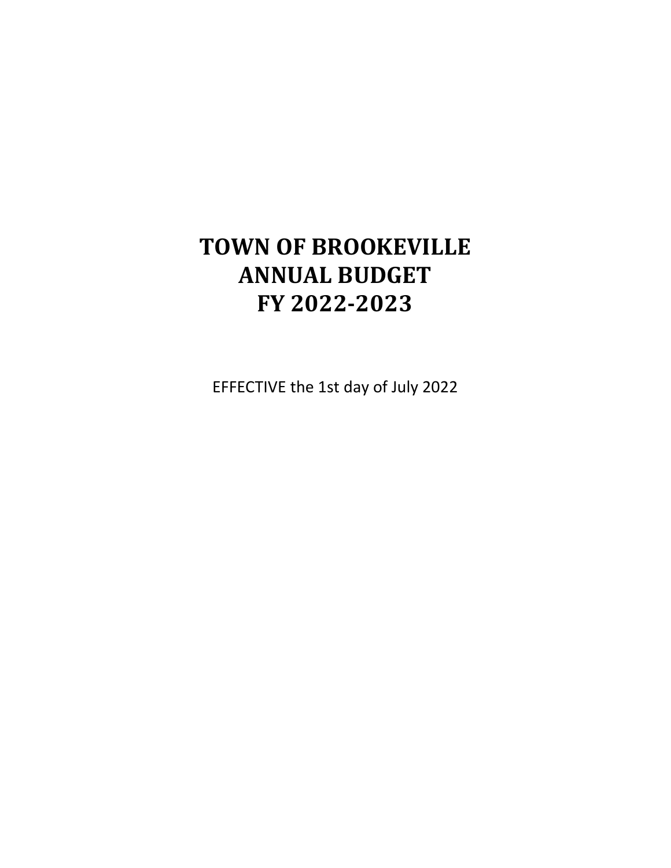## TOWN OF BROOKEVILLE ANNUAL BUDGET FY 2022-2023

EFFECTIVE the 1st day of July 2022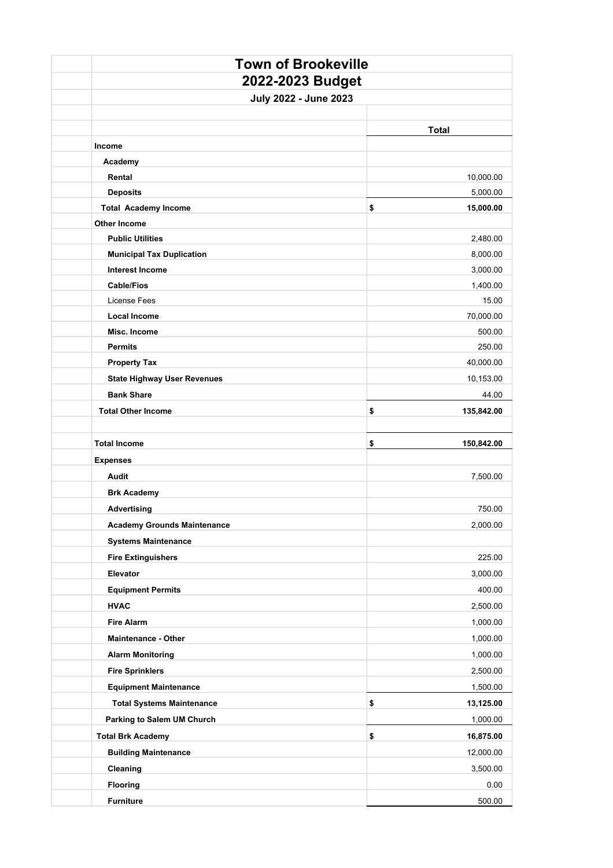|  | <b>Town of Brookeville</b>                                 |                      |  |  |  |
|--|------------------------------------------------------------|----------------------|--|--|--|
|  | 2022-2023 Budget<br>July 2022 - June 2023                  |                      |  |  |  |
|  |                                                            |                      |  |  |  |
|  |                                                            |                      |  |  |  |
|  |                                                            | <b>Total</b>         |  |  |  |
|  | Income                                                     |                      |  |  |  |
|  | Academy                                                    |                      |  |  |  |
|  | Rental                                                     | 10,000.00            |  |  |  |
|  | <b>Deposits</b>                                            | 5,000.00             |  |  |  |
|  | <b>Total Academy Income</b>                                | \$<br>15,000.00      |  |  |  |
|  | <b>Other Income</b>                                        |                      |  |  |  |
|  | <b>Public Utilities</b>                                    | 2,480.00             |  |  |  |
|  | <b>Municipal Tax Duplication</b><br><b>Interest Income</b> | 8,000.00             |  |  |  |
|  | <b>Cable/Fios</b>                                          | 3,000.00<br>1,400.00 |  |  |  |
|  | License Fees                                               | 15.00                |  |  |  |
|  | <b>Local Income</b>                                        | 70,000.00            |  |  |  |
|  | Misc. Income                                               | 500.00               |  |  |  |
|  | <b>Permits</b>                                             | 250.00               |  |  |  |
|  | <b>Property Tax</b>                                        | 40,000.00            |  |  |  |
|  | <b>State Highway User Revenues</b>                         | 10,153.00            |  |  |  |
|  | <b>Bank Share</b>                                          | 44.00                |  |  |  |
|  | <b>Total Other Income</b>                                  | \$<br>135,842.00     |  |  |  |
|  |                                                            |                      |  |  |  |
|  |                                                            |                      |  |  |  |
|  | <b>Total Income</b>                                        | \$<br>150,842.00     |  |  |  |
|  | <b>Expenses</b>                                            |                      |  |  |  |
|  | Audit                                                      | 7,500.00             |  |  |  |
|  | <b>Brk Academy</b>                                         |                      |  |  |  |
|  | <b>Advertising</b>                                         | 750.00               |  |  |  |
|  | <b>Academy Grounds Maintenance</b>                         | 2,000.00             |  |  |  |
|  | <b>Systems Maintenance</b>                                 |                      |  |  |  |
|  | <b>Fire Extinguishers</b>                                  | 225.00               |  |  |  |
|  | Elevator                                                   | 3,000.00             |  |  |  |
|  | <b>Equipment Permits</b>                                   | 400.00               |  |  |  |
|  | <b>HVAC</b>                                                | 2,500.00             |  |  |  |
|  | <b>Fire Alarm</b>                                          | 1,000.00             |  |  |  |
|  | Maintenance - Other                                        | 1,000.00             |  |  |  |
|  | <b>Alarm Monitoring</b>                                    | 1,000.00             |  |  |  |
|  | <b>Fire Sprinklers</b>                                     | 2,500.00             |  |  |  |
|  | <b>Equipment Maintenance</b>                               | 1,500.00             |  |  |  |
|  | <b>Total Systems Maintenance</b>                           | \$<br>13,125.00      |  |  |  |
|  | <b>Parking to Salem UM Church</b>                          | 1,000.00             |  |  |  |
|  | <b>Total Brk Academy</b>                                   | \$<br>16,875.00      |  |  |  |
|  | <b>Building Maintenance</b>                                | 12,000.00            |  |  |  |
|  | Cleaning                                                   | 3,500.00             |  |  |  |
|  | <b>Flooring</b>                                            | 0.00                 |  |  |  |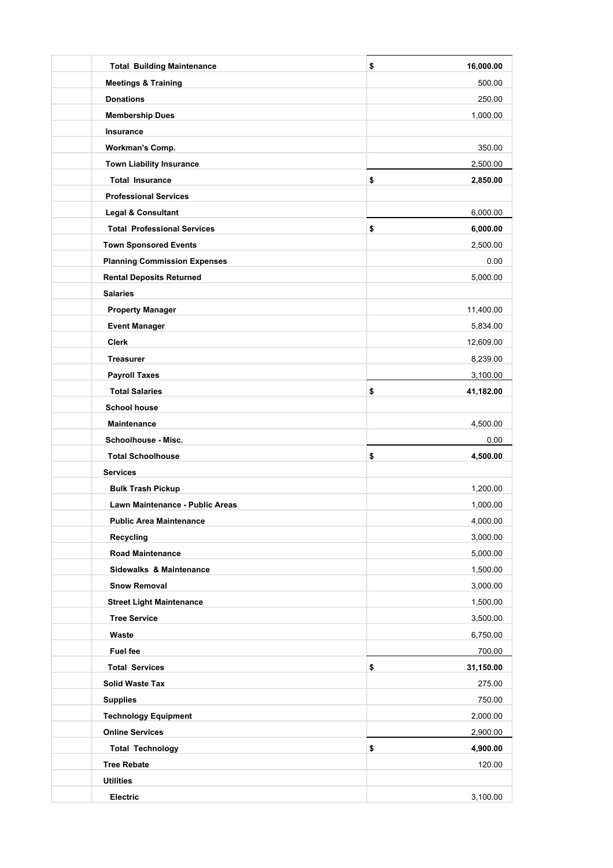| <b>Total Building Maintenance</b>   | 16,000.00<br>\$ |
|-------------------------------------|-----------------|
| <b>Meetings &amp; Training</b>      | 500.00          |
| <b>Donations</b>                    | 250.00          |
| <b>Membership Dues</b>              | 1,000.00        |
| Insurance                           |                 |
| <b>Workman's Comp.</b>              | 350.00          |
| <b>Town Liability Insurance</b>     | 2,500.00        |
| <b>Total Insurance</b>              | \$<br>2,850.00  |
| <b>Professional Services</b>        |                 |
| <b>Legal &amp; Consultant</b>       | 6,000.00        |
| <b>Total Professional Services</b>  | \$<br>6,000.00  |
| <b>Town Sponsored Events</b>        | 2,500.00        |
| <b>Planning Commission Expenses</b> | 0.00            |
| <b>Rental Deposits Returned</b>     | 5,000.00        |
| <b>Salaries</b>                     |                 |
| <b>Property Manager</b>             | 11,400.00       |
| <b>Event Manager</b>                | 5,834.00        |
| <b>Clerk</b>                        | 12,609.00       |
| <b>Treasurer</b>                    | 8,239.00        |
| <b>Payroll Taxes</b>                | 3,100.00        |
| <b>Total Salaries</b>               | \$<br>41,182.00 |
| <b>School house</b>                 |                 |
| <b>Maintenance</b>                  | 4,500.00        |
| Schoolhouse - Misc.                 | 0.00            |
| <b>Total Schoolhouse</b>            | \$<br>4,500.00  |
| <b>Services</b>                     |                 |
| <b>Bulk Trash Pickup</b>            | 1,200.00        |
| Lawn Maintenance - Public Areas     | 1,000.00        |
| <b>Public Area Maintenance</b>      | 4,000.00        |
| <b>Recycling</b>                    | 3,000.00        |
| <b>Road Maintenance</b>             | 5,000.00        |
| Sidewalks & Maintenance             | 1,500.00        |
| <b>Snow Removal</b>                 | 3,000.00        |
| <b>Street Light Maintenance</b>     | 1,500.00        |
| <b>Tree Service</b>                 | 3,500.00        |
| Waste                               | 6,750.00        |
| <b>Fuel fee</b>                     | 700.00          |
| <b>Total Services</b>               | \$<br>31,150.00 |
| <b>Solid Waste Tax</b>              | 275.00          |
| <b>Supplies</b>                     | 750.00          |
| <b>Technology Equipment</b>         | 2,000.00        |
| <b>Online Services</b>              | 2,900.00        |
| <b>Total Technology</b>             | \$<br>4,900.00  |
| <b>Tree Rebate</b>                  | 120.00          |
| <b>Utilities</b>                    |                 |
| Electric                            | 3,100.00        |